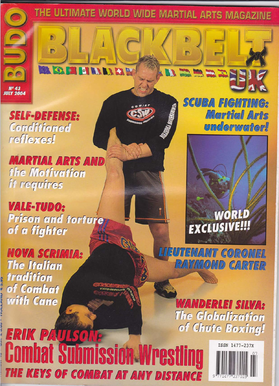THE ULTIMATE WORLD WIDE MARTIAL ARTS MAGAZINE

D

**Sing Side** 

Mª 43<br>IULY 2004

**SELF-DEFENSE:** Conditioned reflexes!

D)

n

**EXI** 

**ET MAIN EX IN** 

**MARTIAL ARTS AND** fhe Moffvaffon if requires

**VALE-TUDO:** Prison and forfure of a fighter

**NOVA SCRIMIA: The Italian** tradition of Combat with Cane



**SCUBA FIGHTING:** Martial Arts **underwater!** 

## WORLD EXCLUSIVE!!!



**WANDERLEI SILVA:** The Globalization of Chufe Boxfrig!

ERIK PAULSON: **Combat Submission Wrest** THE KEYS OF COMBAT AT ANY DISTANCE

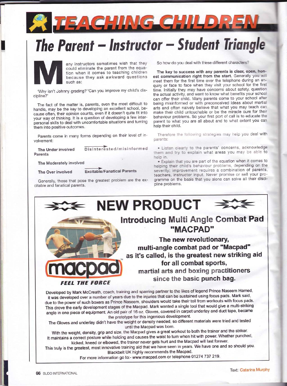

## The Parent - Instructor - Student Triangle



any instructors sometimes wish that they could eliminate the parent from the equation when it comes to teaching children because they ask awkward questions such as:

'Why isn't Johnny grading?"Can you improve my child's discipline?

The fact of the matter is, parents, even the most difficult to handle, may be the key to developing an excellent school, because often, their opinion counts, even if it doesn't quite fit into your way of thinking. It is a question of developing a few interpersonal skills to deal with uncomfortable situations and turning them into positive outcomes.

Parents come in many forms depending on their level of involvement:

The Under involved Parents

Disinterested/misinformed

The Moderately involved

The Over involved

**Excitable/Fanatical Parents** 

Generally, those that pose the greatest problem are the excitable and fanatical parents.

So how do you deal with these different characters?

The key to success with any parents is clear, open, honest communication right from the start. Generally you will meet them for the first time over the telephone during an enquiry or face to face when they visit your school for the first time. Initially they may have concerns about safety, question the actual activity, and want to know what benefits your school can offer their child. Many parents come to your school after being misinformed or with preconceived ideas about martial arts and often naively believe that what you may teach can make their child untouchable or be the miracle cure for their behaviour problems. So your first port of call is to educate the parent to what you are all about and to what extent you can help their child.

Therefore the following strategies may help you deal with parents:

. Listen clearly to the parents' concerns, acknowledge them and try to explain what areas you may be able to help in

. Explain that you are part of the equation when it comes to helping their child's behaviour problems, depending on the severity; improvement requires a combination of parents, teachers, instructor input. Never promise or sell your programme on the basis that you alone can solve all their discipline problems.



The Gloves and underlay didn't have the weight or density needed, so different materials were tried and tested until the Macpad was born.

With the weight, density, grip and size, the Macpad gives a great workout to both the trainer and the striker. It maintains a correct posture while holding and causes the waist to turn when hit with power. Whether punched, kicked, kneed or elbowed, the trainer never gets hurt and the Macpad will last forever.

This truly is the greatest, most innovative training aid that we have seen in years. We have one and so should you. Blackbelt UK highly recommends the Macpad.

For more information go to:- www.macpad.com or telephone 01274 737 219.